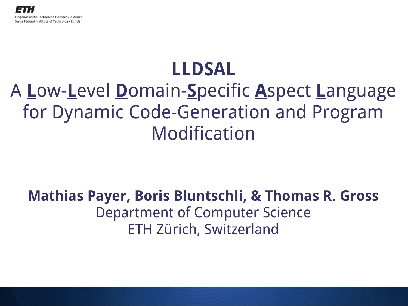#### **LLDSAL**

#### A **L**ow-**L**evel **D**omain-**S**pecific **A**spect **L**anguage for Dynamic Code-Generation and Program Modification

#### **Mathias Payer, Boris Bluntschli, & Thomas R. Gross** Department of Computer Science ETH Zürich, Switzerland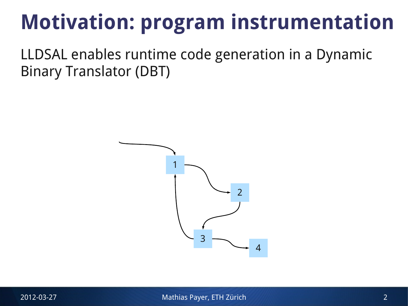# **Motivation: program instrumentation**

LLDSAL enables runtime code generation in a Dynamic Binary Translator (DBT)



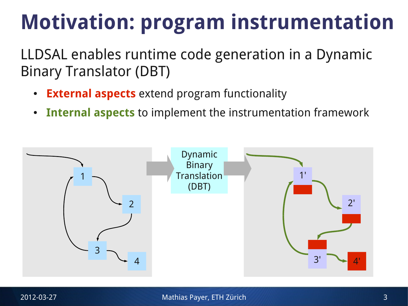# **Motivation: program instrumentation**

LLDSAL enables runtime code generation in a Dynamic Binary Translator (DBT)

- **External aspects** extend program functionality
- **Internal aspects** to implement the instrumentation framework

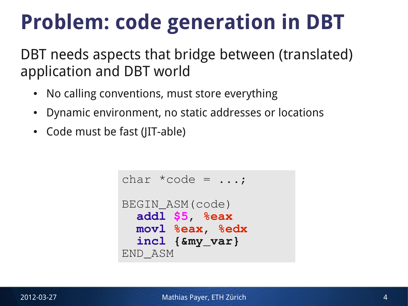# **Problem: code generation in DBT**

DBT needs aspects that bridge between (translated) application and DBT world

- No calling conventions, must store everything
- Dynamic environment, no static addresses or locations
- Code must be fast (JIT-able)

```
char \star code = \ldots;
BEGIN_ASM(code)
   addl $5, %eax
   movl %eax, %edx
   incl {&my_var}
END_ASM
```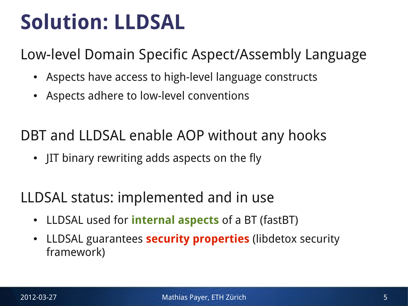## **Solution: LLDSAL**

Low-level Domain Specific Aspect/Assembly Language

- Aspects have access to high-level language constructs
- Aspects adhere to low-level conventions

DBT and LLDSAL enable AOP without any hooks

• JIT binary rewriting adds aspects on the fly

LLDSAL status: implemented and in use

- LLDSAL used for **internal aspects** of a BT (fastBT)
- LLDSAL guarantees **security properties** (libdetox security framework)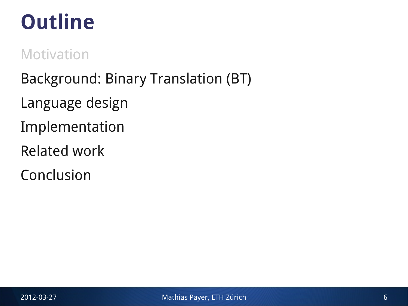# **Outline**

#### Motivation

- Background: Binary Translation (BT)
- Language design
- Implementation
- Related work
- Conclusion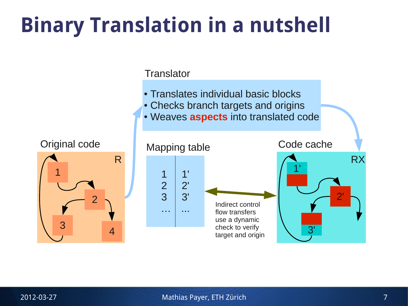# **Binary Translation in a nutshell**

**Translator** 

- Translates individual basic blocks
- Checks branch targets and origins
- Weaves **aspects** into translated code

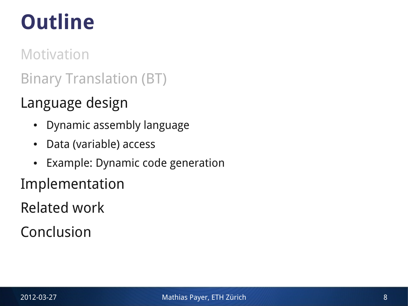# **Outline**

Motivation

#### Binary Translation (BT)

#### Language design

- Dynamic assembly language
- Data (variable) access
- Example: Dynamic code generation
- Implementation

Related work

Conclusion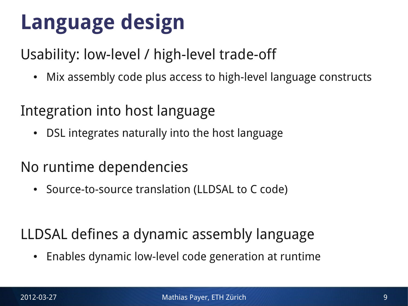# **Language design**

Usability: low-level / high-level trade-off

• Mix assembly code plus access to high-level language constructs

#### Integration into host language

**DSL integrates naturally into the host language** 

#### No runtime dependencies

• Source-to-source translation (LLDSAL to C code)

#### LLDSAL defines a dynamic assembly language

• Enables dynamic low-level code generation at runtime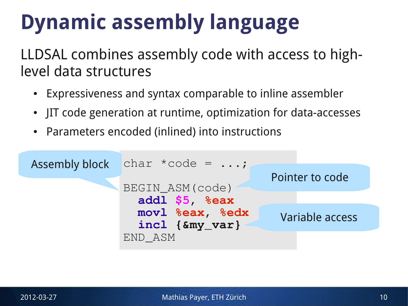# **Dynamic assembly language**

LLDSAL combines assembly code with access to highlevel data structures

- Expressiveness and syntax comparable to inline assembler
- JIT code generation at runtime, optimization for data-accesses
- Parameters encoded (inlined) into instructions

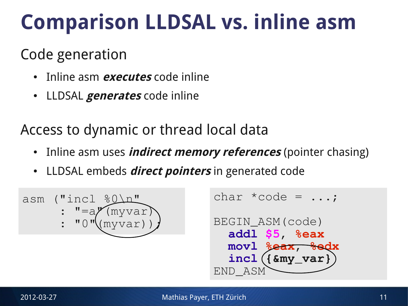## **Comparison LLDSAL vs. inline asm**

#### Code generation

- Inline asm **executes** code inline
- LLDSAL **generates** code inline

#### Access to dynamic or thread local data

- Inline asm uses *indirect memory references* (pointer chasing)
- LLDSAL embeds **direct pointers** in generated code

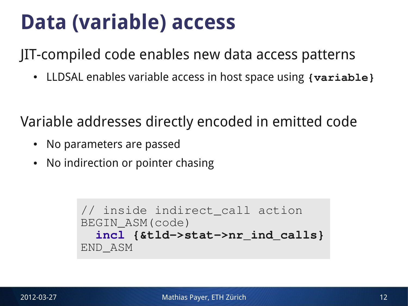### **Data (variable) access**

JIT-compiled code enables new data access patterns

● LLDSAL enables variable access in host space using **{variable}**

Variable addresses directly encoded in emitted code

- No parameters are passed
- No indirection or pointer chasing

```
// inside indirect_call action
BEGIN_ASM(code)
   incl {&tld->stat->nr_ind_calls}
END_ASM
```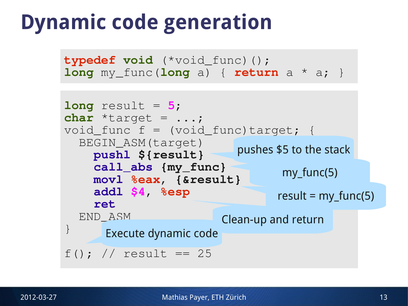## **Dynamic code generation**

```
typedef void (*void_func)();
long my_func(long a) { return a * a; }
```

```
long result = 5;
char *target = ...;
void_func f = (void_func)target; {
   BEGIN_ASM(target)
     pushl ${result} 
     call_abs {my_func}
     movl %eax, {&result}
     addl $4, %esp
     ret
   END_ASM
}
f(); // result == 25
                           pushes $5 to the stack
                                   my_func(5)
                                  result = my_function(5)Clean-up and return
      Execute dynamic code
```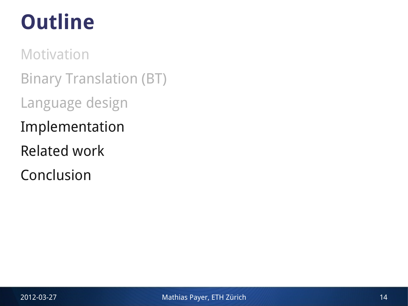# **Outline**

Motivation Binary Translation (BT) Language design Implementation Related work Conclusion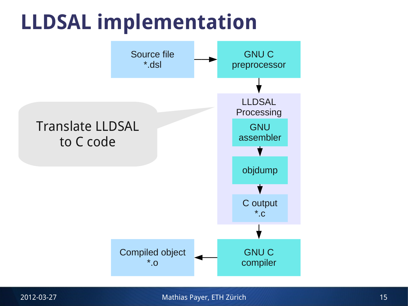## **LLDSAL implementation**

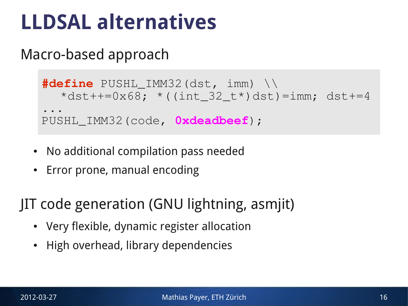### **LLDSAL alternatives**

#### Macro-based approach

```
#define PUSHL_IMM32(dst, imm) \\
  *dst++=0x68; *((int_32_t*)dst)=imm; dst+=4
...
PUSHL_IMM32(code, 0xdeadbeef);
```
- No additional compilation pass needed
- Error prone, manual encoding

JIT code generation (GNU lightning, asmjit)

- Very flexible, dynamic register allocation
- High overhead, library dependencies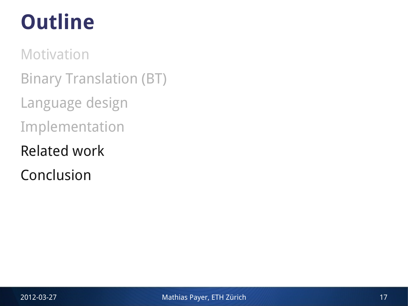# **Outline**

Motivation Binary Translation (BT) Language design Implementation Related work Conclusion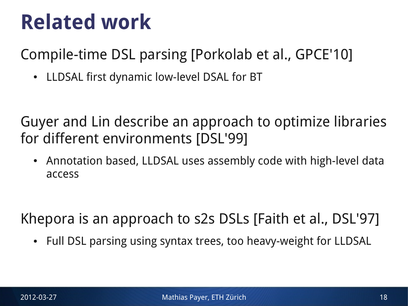### **Related work**

Compile-time DSL parsing [Porkolab et al., GPCE'10]

• LLDSAL first dynamic low-level DSAL for BT

Guyer and Lin describe an approach to optimize libraries for different environments [DSL'99]

• Annotation based, LLDSAL uses assembly code with high-level data access

Khepora is an approach to s2s DSLs [Faith et al., DSL'97]

• Full DSL parsing using syntax trees, too heavy-weight for LLDSAL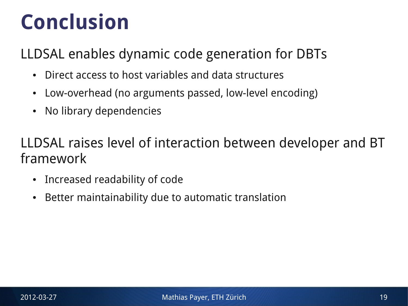### **Conclusion**

LLDSAL enables dynamic code generation for DBTs

- Direct access to host variables and data structures
- Low-overhead (no arguments passed, low-level encoding)
- No library dependencies

LLDSAL raises level of interaction between developer and BT framework

- Increased readability of code
- Better maintainability due to automatic translation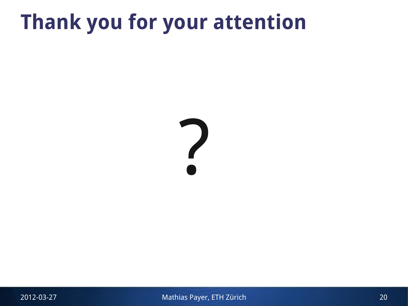### **Thank you for your attention**

?

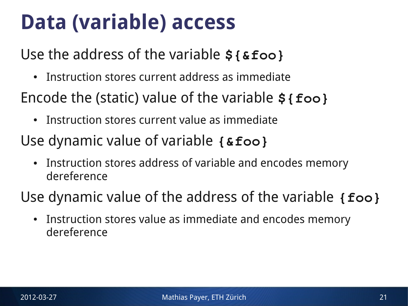## **Data (variable) access**

Use the address of the variable **\${&foo}**

- Instruction stores current address as immediate
- Encode the (static) value of the variable **\${foo}**
	- Instruction stores current value as immediate
- Use dynamic value of variable **{&foo}**
	- Instruction stores address of variable and encodes memory dereference

Use dynamic value of the address of the variable **{foo}**

• Instruction stores value as immediate and encodes memory dereference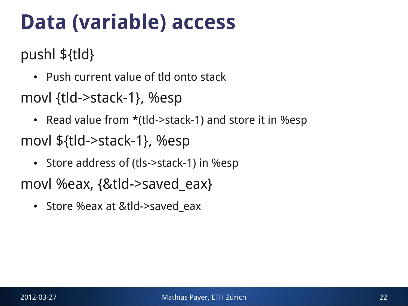### **Data (variable) access**

pushl \${tld}

- Push current value of tld onto stack
- movl {tld->stack-1}, %esp
- Read value from  $*(\text{Id} \rightarrow \text{stack-1})$  and store it in %esp movl \${tld->stack-1}, %esp
	- Store address of (tls->stack-1) in %esp

movl %eax, {&tld->saved\_eax}

• Store %eax at &tld->saved eax